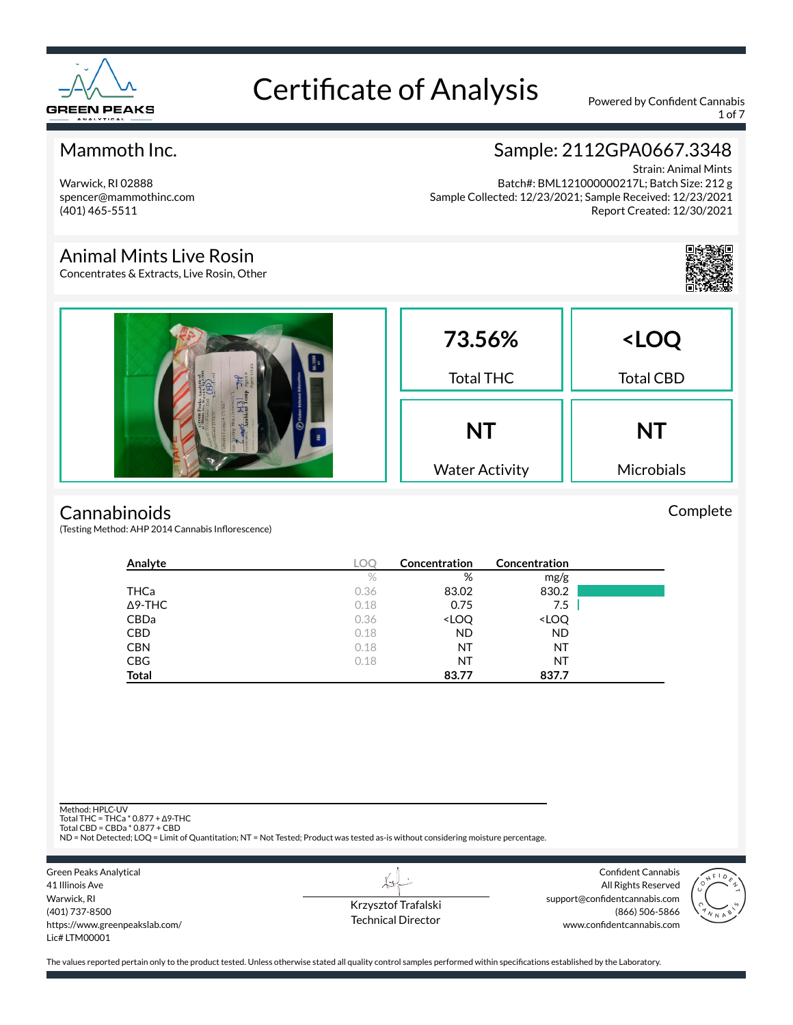

1 of 7

### Mammoth Inc.

Warwick, RI 02888 spencer@mammothinc.com (401) 465-5511

# Sample: 2112GPA0667.3348

Strain: Animal Mints Batch#: BML121000000217L; Batch Size: 212 g Sample Collected: 12/23/2021; Sample Received: 12/23/2021 Report Created: 12/30/2021

#### Animal Mints Live Rosin

Concentrates & Extracts, Live Rosin, Other



#### **Cannabinoids**

(Testing Method: AHP 2014 Cannabis Inflorescence)

| Analyte        | LOC  | Concentration                                            | Concentration                |  |
|----------------|------|----------------------------------------------------------|------------------------------|--|
|                | $\%$ | %                                                        | mg/g                         |  |
| THCa           | 0.36 | 83.02                                                    | 830.2                        |  |
| $\Delta$ 9-THC | 0.18 | 0.75                                                     | 7.5                          |  |
| CBDa           | 0.36 | <loq< td=""><td><loq< td=""><td></td></loq<></td></loq<> | <loq< td=""><td></td></loq<> |  |
| <b>CBD</b>     | 0.18 | <b>ND</b>                                                | <b>ND</b>                    |  |
| <b>CBN</b>     | 0.18 | ΝT                                                       | NT                           |  |
| <b>CBG</b>     | 0.18 | ΝT                                                       | NT                           |  |
| <b>Total</b>   |      | 83.77                                                    | 837.7                        |  |

Method: HPLC-UV

Total THC = THCa \* 0.877 + ∆9-THC Total CBD = CBDa \* 0.877 + CBD

ND = Not Detected; LOQ = Limit of Quantitation; NT = Not Tested; Product was tested as-is without considering moisture percentage.

Green Peaks Analytical 41 Illinois Ave Warwick, RI (401) 737-8500 https://www.greenpeakslab.com/ Lic# LTM00001

Krzysztof Trafalski Technical Director

Confident Cannabis All Rights Reserved support@confidentcannabis.com (866) 506-5866 www.confidentcannabis.com



The values reported pertain only to the product tested. Unless otherwise stated all quality control samples performed within specifications established by the Laboratory.

Complete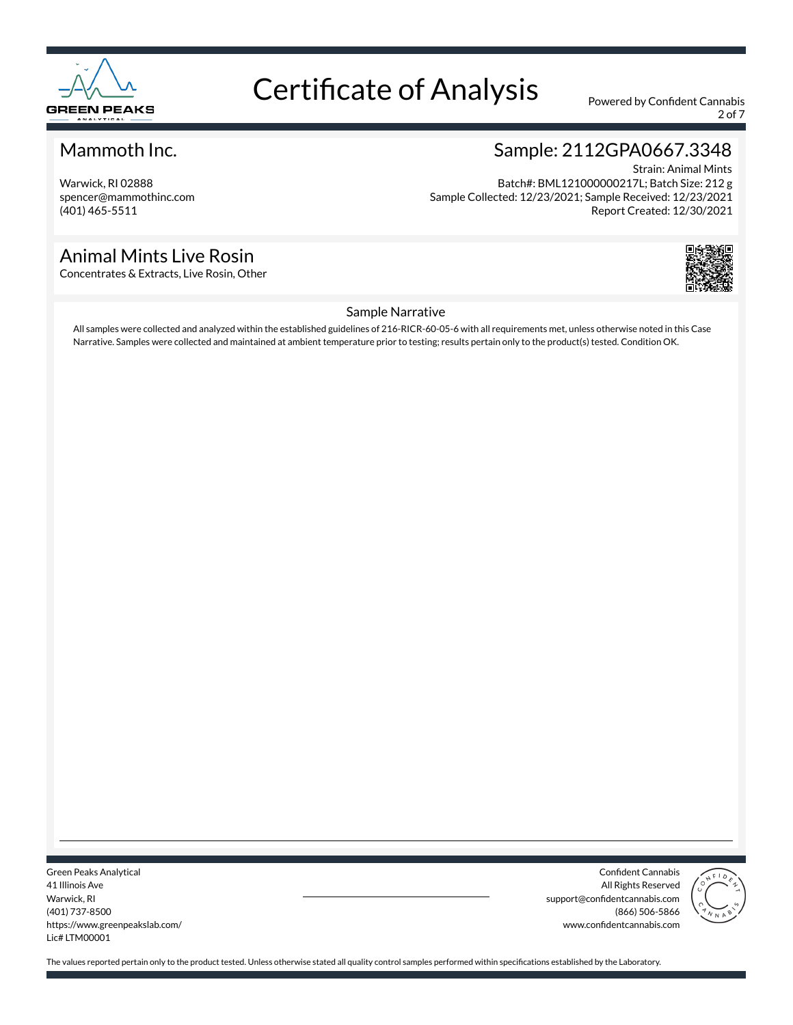

2 of 7

### Mammoth Inc.

Warwick, RI 02888 spencer@mammothinc.com (401) 465-5511

### Animal Mints Live Rosin

Concentrates & Extracts, Live Rosin, Other

# Sample: 2112GPA0667.3348

Strain: Animal Mints Batch#: BML121000000217L; Batch Size: 212 g Sample Collected: 12/23/2021; Sample Received: 12/23/2021 Report Created: 12/30/2021



#### Sample Narrative

All samples were collected and analyzed within the established guidelines of 216-RICR-60-05-6 with all requirements met, unless otherwise noted in this Case Narrative. Samples were collected and maintained at ambient temperature prior to testing; results pertain only to the product(s) tested. Condition OK.

Green Peaks Analytical 41 Illinois Ave Warwick, RI (401) 737-8500 https://www.greenpeakslab.com/ Lic# LTM00001

Confident Cannabis All Rights Reserved support@confidentcannabis.com (866) 506-5866 www.confidentcannabis.com

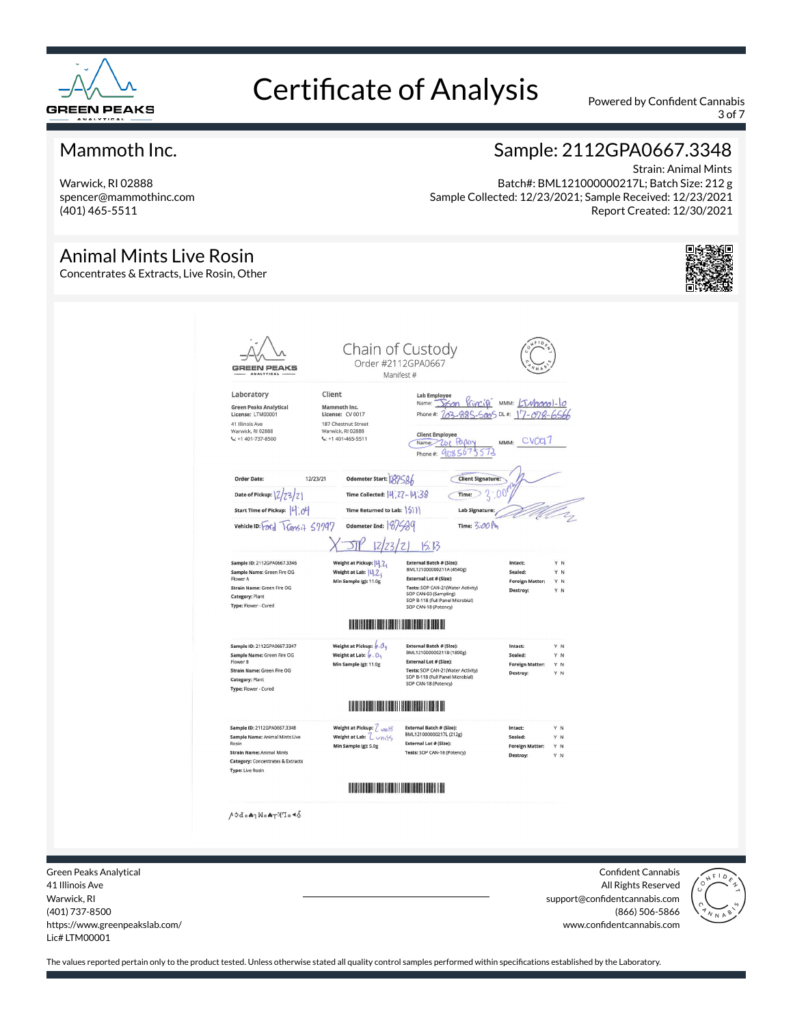

3 of 7

### Mammoth Inc.

Warwick, RI 02888 spencer@mammothinc.com (401) 465-5511

## Sample: 2112GPA0667.3348

Strain: Animal Mints Batch#: BML121000000217L; Batch Size: 212 g Sample Collected: 12/23/2021; Sample Received: 12/23/2021 Report Created: 12/30/2021

#### Animal Mints Live Rosin

Concentrates & Extracts, Live Rosin, Other



Green Peaks Analytical 41 Illinois Ave Warwick, RI (401) 737-8500 https://www.greenpeakslab.com/ Lic# LTM00001

Confident Cannabis All Rights Reserved support@confidentcannabis.com (866) 506-5866 www.confidentcannabis.com

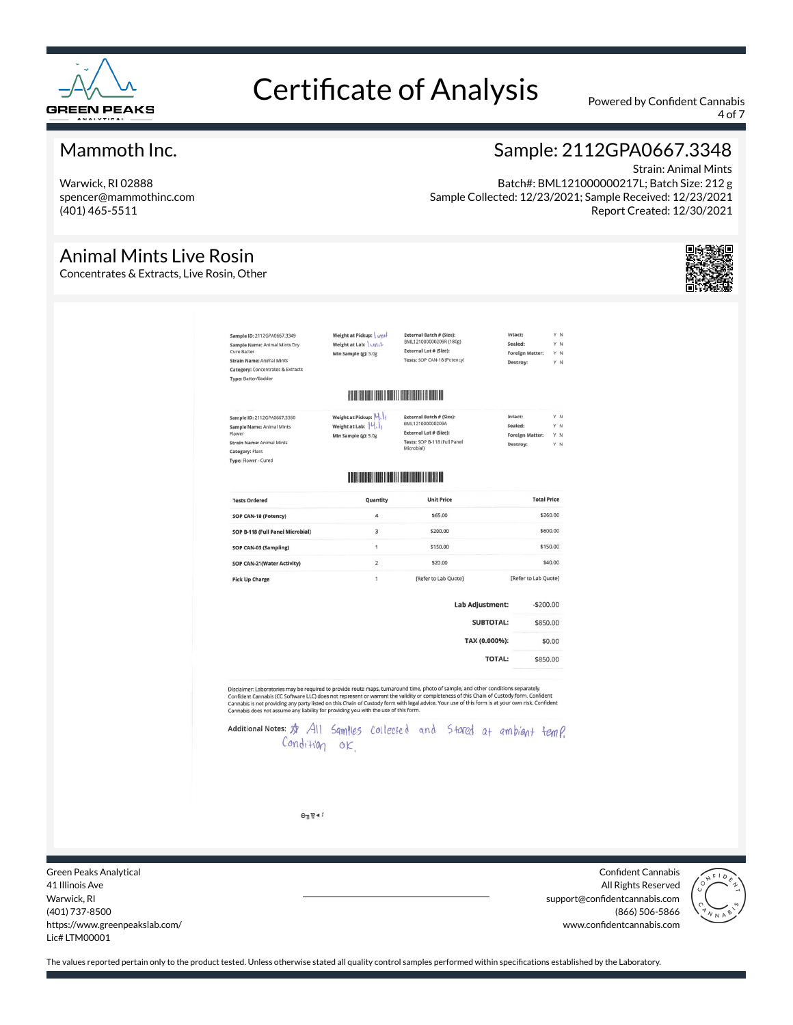

4 of 7

### Mammoth Inc.

Warwick, RI 02888 spencer@mammothinc.com (401) 465-5511

Animal Mints Live Rosin Concentrates & Extracts, Live Rosin, Other

# Sample: 2112GPA0667.3348 Strain: Animal Mints

Batch#: BML121000000217L; Batch Size: 212 g Sample Collected: 12/23/2021; Sample Received: 12/23/2021 Report Created: 12/30/2021

E<mark>xternal Batch # (Size):</mark><br>BML121000000209R (180g) Sample ID: 2112GPA0667.3349 Weight at Pickup: \ <sub>vii</sub>i Intact Sample Name: Animal Mints Dry<br>Cure Batter Weight at Lab: \vni<sup>1</sup> Sealed: YN External Lot # (Size): Foreign Matter Y N Min Sample (e): 5.0g Strain Name: Animal Mints Tests: SOP CAN-18 (Potency) **Dactive** Category: Concentrates & Extracts Type: Batter/Badder External Batch # (Size):<br>BML121000000209A Sample ID: 2112GPA0667.3350 Weight at Pickup: 14. Intact Sample Name: Animal Mints Weight at Lab:  $\left\{\mathsf{U}_{\!\backslash \mathsf{L}}\right\}$ Sealed: Y N External Lot # (Size): **Foreign Matter:** Y N Min Sample (g): 5.0g External Lot # (size).<br>Tests: SOP B-118 (Full Panel<br>Microbial) Strain Name: Animal Mints Category: Plant Type: Flower - Cureo **THE TELEVISION CONTROL Total Price Unit Price Tests Ordered** Quantity SOP CAN-18 (Potency) \$65,00 \$260.00  $\overline{a}$ \$200.00 \$600.00 SOP B-118 (Full Panel Microbial)  $\overline{3}$ \$150.00 \$150.00 SOP CAN-03 (Sampling)  $\overline{1}$ SOP CAN-21(Water Activity)  $\overline{z}$ \$20.00 \$40.00 [Refer to Lab Quote] [Refer to Lab Quote]  $\overline{1}$ **Pick Up Charge** Lab Adjustment:  $-$ \$200.00 SUBTOTAL: \$850.00 TAX (0.000%): \$0.00 **TOTAL:** \$850.00 Disclaimer: Laboratories may be required to provide route maps, turnaround time, photo of sample, and other conditions separately.<br>Confident Cannabis (CC Software LLC) does not represent or warrant the validity or complete Additional Notes: \$ All Samples collected and Stared at ambient temp. Condition ok.  $\Theta$ <sub>n</sub> $\approx$  4!

Green Peaks Analytical 41 Illinois Ave Warwick, RI (401) 737-8500 https://www.greenpeakslab.com/ Lic# LTM00001

Confident Cannabis All Rights Reserved support@confidentcannabis.com (866) 506-5866 www.confidentcannabis.com

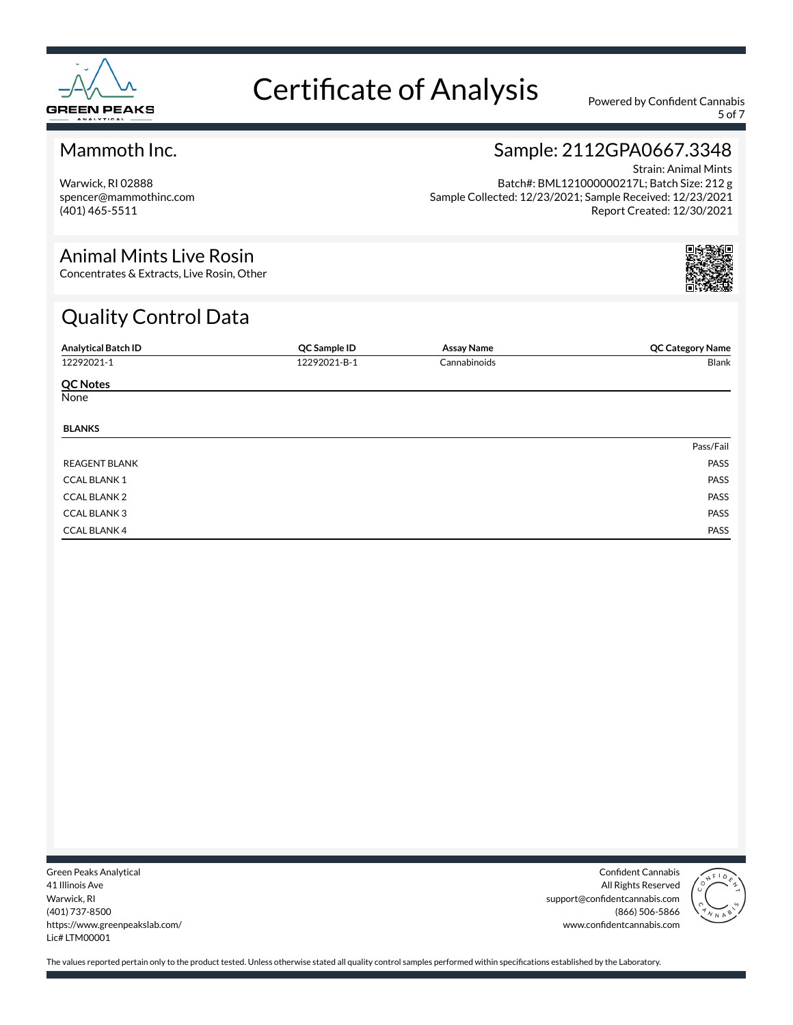

5 of 7

### Mammoth Inc.

Warwick, RI 02888 spencer@mammothinc.com (401) 465-5511

# Sample: 2112GPA0667.3348

Strain: Animal Mints Batch#: BML121000000217L; Batch Size: 212 g Sample Collected: 12/23/2021; Sample Received: 12/23/2021 Report Created: 12/30/2021

#### Animal Mints Live Rosin

Concentrates & Extracts, Live Rosin, Other

# Quality Control Data

| <b>Analytical Batch ID</b> | QC Sample ID | <b>Assay Name</b> | <b>QC Category Name</b> |
|----------------------------|--------------|-------------------|-------------------------|
| 12292021-1                 | 12292021-B-1 | Cannabinoids      | Blank                   |
| <b>QC Notes</b>            |              |                   |                         |
| None                       |              |                   |                         |
| <b>BLANKS</b>              |              |                   |                         |
|                            |              |                   | Pass/Fail               |
| <b>REAGENT BLANK</b>       |              |                   | PASS                    |
| <b>CCAL BLANK 1</b>        |              |                   | PASS                    |
| <b>CCAL BLANK 2</b>        |              |                   | PASS                    |
| <b>CCAL BLANK3</b>         |              |                   | PASS                    |
| <b>CCAL BLANK 4</b>        |              |                   | PASS                    |

Green Peaks Analytical 41 Illinois Ave Warwick, RI (401) 737-8500 https://www.greenpeakslab.com/ Lic# LTM00001

Confident Cannabis All Rights Reserved support@confidentcannabis.com (866) 506-5866 www.confidentcannabis.com

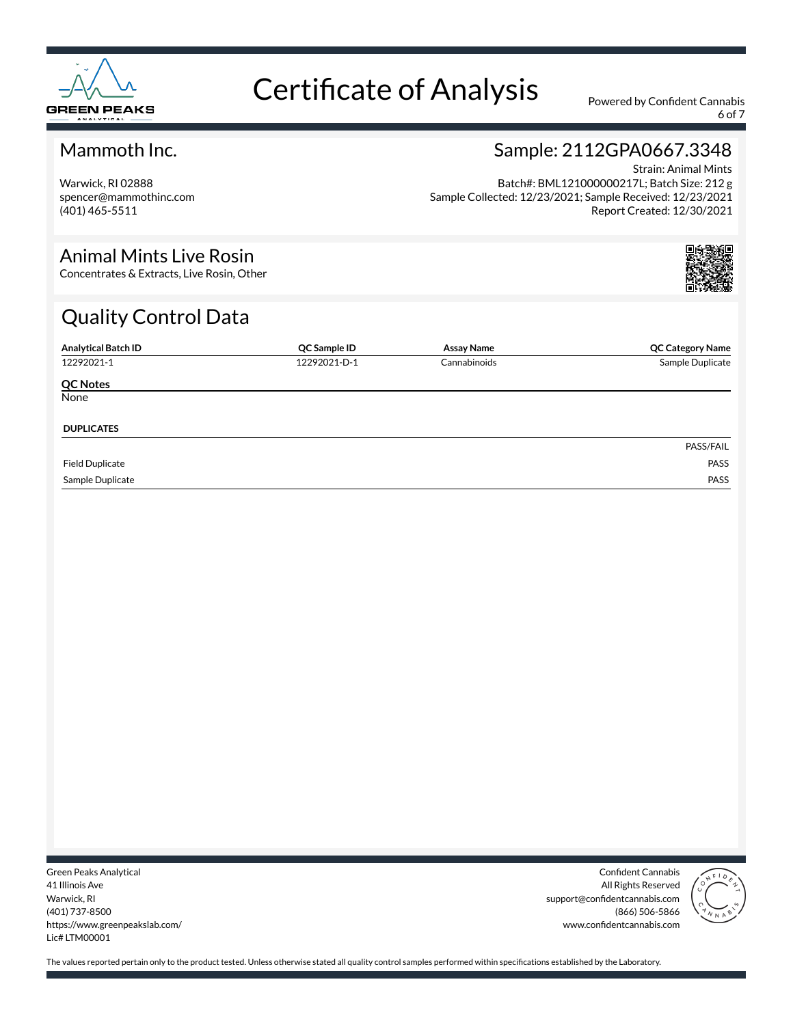

6 of 7

### Mammoth Inc.

Warwick, RI 02888 spencer@mammothinc.com (401) 465-5511

# Sample: 2112GPA0667.3348

Strain: Animal Mints Batch#: BML121000000217L; Batch Size: 212 g Sample Collected: 12/23/2021; Sample Received: 12/23/2021 Report Created: 12/30/2021

#### Animal Mints Live Rosin

Concentrates & Extracts, Live Rosin, Other

# Quality Control Data

| <b>Analytical Batch ID</b> | QC Sample ID | Assay Name   | <b>QC Category Name</b> |
|----------------------------|--------------|--------------|-------------------------|
| 12292021-1                 | 12292021-D-1 | Cannabinoids | Sample Duplicate        |
| <b>QC Notes</b>            |              |              |                         |
| None                       |              |              |                         |
|                            |              |              |                         |
| <b>DUPLICATES</b>          |              |              |                         |
|                            |              |              | PASS/FAIL               |
| <b>Field Duplicate</b>     |              |              | PASS                    |
| Sample Duplicate           |              |              | PASS                    |

Green Peaks Analytical 41 Illinois Ave Warwick, RI (401) 737-8500 https://www.greenpeakslab.com/ Lic# LTM00001

Confident Cannabis All Rights Reserved support@confidentcannabis.com (866) 506-5866 www.confidentcannabis.com